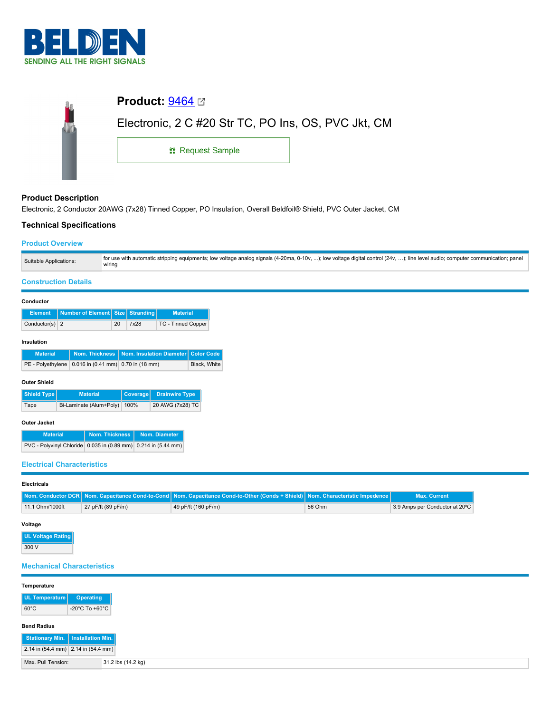

| <b>Product:</b> $9464 \, \text{C}$                  |  |
|-----------------------------------------------------|--|
| Electronic, 2 C #20 Str TC, PO Ins, OS, PVC Jkt, CM |  |
| <b>: Request Sample</b>                             |  |
|                                                     |  |

# **Product Description**

Electronic, 2 Conductor 20AWG (7x28) Tinned Copper, PO Insulation, Overall Beldfoil® Shield, PVC Outer Jacket, CM

# **Technical Specifications**

## **Product Overview**

| Suitable Applications: | for use with automatic stripping equipments; low voltage analog signals (4-20ma, 0-10v, ); low voltage digital control (24v, ); line level audio; computer communication; panel<br>wiring |
|------------------------|-------------------------------------------------------------------------------------------------------------------------------------------------------------------------------------------|

# **Construction Details**

#### **Conductor**

|                  | Element   Number of Element   Size   Stranding |    |      | <b>Material</b>    |
|------------------|------------------------------------------------|----|------|--------------------|
| Conductor(s) $2$ |                                                | 20 | 7x28 | TC - Tinned Copper |

### **Insulation**

| <b>Material</b> |                                                          | Nom. Thickness   Nom. Insulation Diameter   Color Code |              |
|-----------------|----------------------------------------------------------|--------------------------------------------------------|--------------|
|                 | PE - Polyethylene   0.016 in (0.41 mm)   0.70 in (18 mm) |                                                        | Black, White |

### **Outer Shield**

| Shield Type                          | <b>Material</b> | Coverage Drainwire Type |
|--------------------------------------|-----------------|-------------------------|
| Bi-Laminate (Alum+Poly) 100%<br>Tape |                 | 20 AWG (7x28) TC        |

### **Outer Jacket**

| <b>Material</b>                                                | <b>Nom. Thickness</b> | Nom. Diameter |
|----------------------------------------------------------------|-----------------------|---------------|
| PVC - Polyvinyl Chloride 0.035 in (0.89 mm) 0.214 in (5.44 mm) |                       |               |

# **Electrical Characteristics**

### **Electricals**

|                 |                    | Nom. Conductor DCR Nom. Capacitance Cond-to-Cond Nom. Capacitance Cond-to-Other (Conds + Shield) Nom. Characteristic Impedence |        | Max. Current                    |
|-----------------|--------------------|--------------------------------------------------------------------------------------------------------------------------------|--------|---------------------------------|
| 11.1 Ohm/1000ft | 27 pF/ft (89 pF/m) | 49 pF/ft (160 pF/m)                                                                                                            | 56 Ohm | 13.9 Amps per Conductor at 20°C |

### **Voltage**

**UL Voltage Rating** 300 V

# **Mechanical Characteristics**

| Temperature                         |                                      |
|-------------------------------------|--------------------------------------|
|                                     |                                      |
| UL Temperature                      | Operating                            |
| $60^{\circ}$ C                      | -20 $^{\circ}$ C To +60 $^{\circ}$ C |
|                                     |                                      |
| <b>Bend Radius</b>                  |                                      |
|                                     |                                      |
| Stationary Min.   Installation Min. |                                      |
| 2.14 in (54.4 mm) 2.14 in (54.4 mm) |                                      |
|                                     |                                      |
| Max. Pull Tension:                  | 31.2 lbs (14.2 kg)                   |